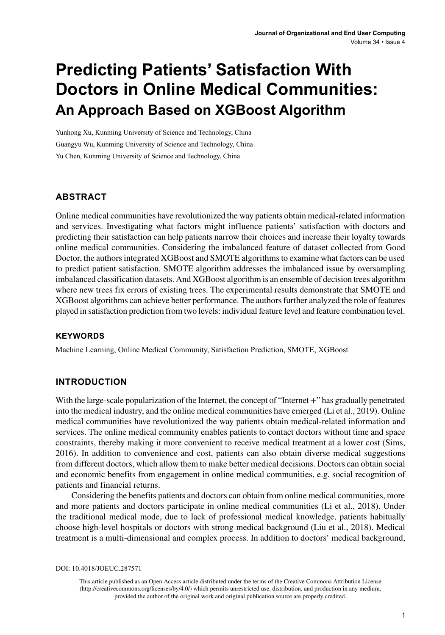# **Predicting Patients' Satisfaction With Doctors in Online Medical Communities: An Approach Based on XGBoost Algorithm**

Yunhong Xu, Kunming University of Science and Technology, China Guangyu Wu, Kunming University of Science and Technology, China Yu Chen, Kunming University of Science and Technology, China

#### **ABSTRACT**

Online medical communities have revolutionized the way patients obtain medical-related information and services. Investigating what factors might influence patients' satisfaction with doctors and predicting their satisfaction can help patients narrow their choices and increase their loyalty towards online medical communities. Considering the imbalanced feature of dataset collected from Good Doctor, the authors integrated XGBoost and SMOTE algorithms to examine what factors can be used to predict patient satisfaction. SMOTE algorithm addresses the imbalanced issue by oversampling imbalanced classification datasets. And XGBoost algorithm is an ensemble of decision trees algorithm where new trees fix errors of existing trees. The experimental results demonstrate that SMOTE and XGBoost algorithms can achieve better performance. The authors further analyzed the role of features played in satisfaction prediction from two levels: individual feature level and feature combination level.

#### **Keywords**

Machine Learning, Online Medical Community, Satisfaction Prediction, SMOTE, XGBoost

#### **INTRODUCTION**

With the large-scale popularization of the Internet, the concept of "Internet +" has gradually penetrated into the medical industry, and the online medical communities have emerged (Li et al., 2019). Online medical communities have revolutionized the way patients obtain medical-related information and services. The online medical community enables patients to contact doctors without time and space constraints, thereby making it more convenient to receive medical treatment at a lower cost (Sims, 2016). In addition to convenience and cost, patients can also obtain diverse medical suggestions from different doctors, which allow them to make better medical decisions. Doctors can obtain social and economic benefits from engagement in online medical communities, e.g. social recognition of patients and financial returns.

Considering the benefits patients and doctors can obtain from online medical communities, more and more patients and doctors participate in online medical communities (Li et al., 2018). Under the traditional medical mode, due to lack of professional medical knowledge, patients habitually choose high-level hospitals or doctors with strong medical background (Liu et al., 2018). Medical treatment is a multi-dimensional and complex process. In addition to doctors' medical background,

DOI: 10.4018/JOEUC.287571

This article published as an Open Access article distributed under the terms of the Creative Commons Attribution License (http://creativecommons.org/licenses/by/4.0/) which permits unrestricted use, distribution, and production in any medium, provided the author of the original work and original publication source are properly credited.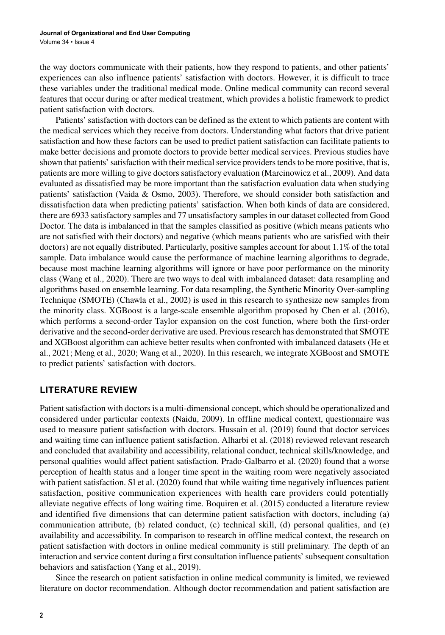the way doctors communicate with their patients, how they respond to patients, and other patients' experiences can also influence patients' satisfaction with doctors. However, it is difficult to trace these variables under the traditional medical mode. Online medical community can record several features that occur during or after medical treatment, which provides a holistic framework to predict patient satisfaction with doctors.

Patients' satisfaction with doctors can be defined as the extent to which patients are content with the medical services which they receive from doctors. Understanding what factors that drive patient satisfaction and how these factors can be used to predict patient satisfaction can facilitate patients to make better decisions and promote doctors to provide better medical services. Previous studies have shown that patients' satisfaction with their medical service providers tends to be more positive, that is, patients are more willing to give doctors satisfactory evaluation (Marcinowicz et al., 2009). And data evaluated as dissatisfied may be more important than the satisfaction evaluation data when studying patients' satisfaction (Vaida & Osmo, 2003). Therefore, we should consider both satisfaction and dissatisfaction data when predicting patients' satisfaction. When both kinds of data are considered, there are 6933 satisfactory samples and 77 unsatisfactory samples in our dataset collected from Good Doctor. The data is imbalanced in that the samples classified as positive (which means patients who are not satisfied with their doctors) and negative (which means patients who are satisfied with their doctors) are not equally distributed. Particularly, positive samples account for about 1.1% of the total sample. Data imbalance would cause the performance of machine learning algorithms to degrade, because most machine learning algorithms will ignore or have poor performance on the minority class (Wang et al., 2020). There are two ways to deal with imbalanced dataset: data resampling and algorithms based on ensemble learning. For data resampling, the Synthetic Minority Over-sampling Technique (SMOTE) (Chawla et al., 2002) is used in this research to synthesize new samples from the minority class. XGBoost is a large-scale ensemble algorithm proposed by Chen et al. (2016), which performs a second-order Taylor expansion on the cost function, where both the first-order derivative and the second-order derivative are used. Previous research has demonstrated that SMOTE and XGBoost algorithm can achieve better results when confronted with imbalanced datasets (He et al., 2021; Meng et al., 2020; Wang et al., 2020). In this research, we integrate XGBoost and SMOTE to predict patients' satisfaction with doctors.

## **LITERATURE REVIEW**

Patient satisfaction with doctors is a multi-dimensional concept, which should be operationalized and considered under particular contexts (Naidu, 2009). In offline medical context, questionnaire was used to measure patient satisfaction with doctors. Hussain et al. (2019) found that doctor services and waiting time can influence patient satisfaction. Alharbi et al. (2018) reviewed relevant research and concluded that availability and accessibility, relational conduct, technical skills/knowledge, and personal qualities would affect patient satisfaction. Prado-Galbarro et al. (2020) found that a worse perception of health status and a longer time spent in the waiting room were negatively associated with patient satisfaction. Sl et al. (2020) found that while waiting time negatively influences patient satisfaction, positive communication experiences with health care providers could potentially alleviate negative effects of long waiting time. Boquiren et al. (2015) conducted a literature review and identified five dimensions that can determine patient satisfaction with doctors, including (a) communication attribute, (b) related conduct, (c) technical skill, (d) personal qualities, and (e) availability and accessibility. In comparison to research in offline medical context, the research on patient satisfaction with doctors in online medical community is still preliminary. The depth of an interaction and service content during a first consultation influence patients' subsequent consultation behaviors and satisfaction (Yang et al., 2019).

Since the research on patient satisfaction in online medical community is limited, we reviewed literature on doctor recommendation. Although doctor recommendation and patient satisfaction are